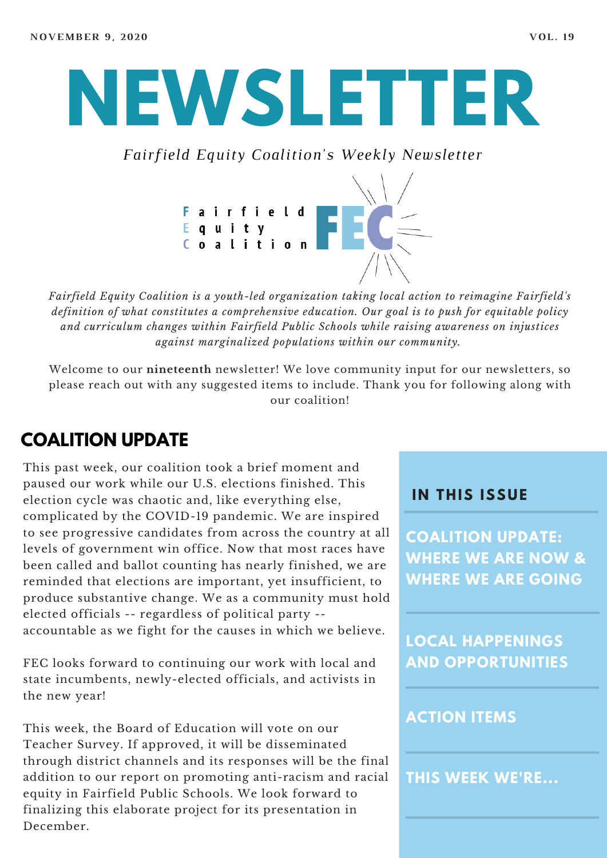# **NEWSLETTER**

*Fairfield Equity Coalition's Weekly Newsletter*



*Fairfield Equity Coalition is a youth-led organization taking local action to reimagine Fairfield's definition of what constitutes a comprehensive education. Our goal is to push for equitable policy and curriculum changes within Fairfield Public Schools while raising awareness on injustices against marginalized populations within our community.*

Welcome to our **nineteenth** newsletter! We love community input for our newsletters, so please reach out with any suggested items to include. Thank you for following along with our coalition!

### **COALITION UPDATE**

This past week, our coalition took a brief moment and paused our work while our U.S. elections finished. This election cycle was chaotic and, like everything else, complicated by the COVID-19 pandemic. We are inspired to see progressive candidates from across the country at all levels of government win office. Now that most races have been called and ballot counting has nearly finished, we are reminded that elections are important, yet insufficient, to produce substantive change. We as a community must hold elected officials -- regardless of political party - accountable as we fight for the causes in which we believe.

FEC looks forward to continuing our work with local and state incumbents, newly-elected officials, and activists in the new year!

This week, the Board of Education will vote on our Teacher Survey. If approved, it will be disseminated through district channels and its responses will be the final addition to our report on promoting anti-racism and racial equity in Fairfield Public Schools. We look forward to finalizing this elaborate project for its presentation in December.

#### **I N THIS ISSUE**

**COALITION UPDATE: WHERE WE ARE NOW & WHERE WE ARE GOING**

**LOCAL HAPPENINGS AND OPPORTUNITIES**

#### **ACTION ITEMS**

**THIS WEEK WE'RE...**